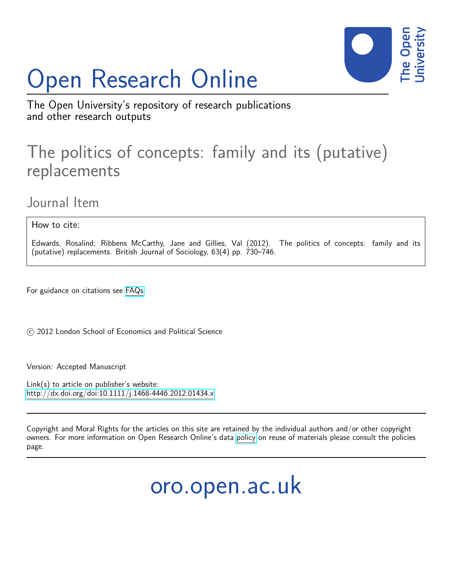# Open Research Online



The Open University's repository of research publications and other research outputs

# The politics of concepts: family and its (putative) replacements

Journal Item

How to cite:

Edwards, Rosalind; Ribbens McCarthy, Jane and Gillies, Val (2012). The politics of concepts: family and its (putative) replacements. British Journal of Sociology, 63(4) pp. 730–746.

For guidance on citations see [FAQs.](http://oro.open.ac.uk/help/helpfaq.html)

 $\odot$  2012 London School of Economics and Political Science

Version: Accepted Manuscript

Link(s) to article on publisher's website: <http://dx.doi.org/doi:10.1111/j.1468-4446.2012.01434.x>

Copyright and Moral Rights for the articles on this site are retained by the individual authors and/or other copyright owners. For more information on Open Research Online's data [policy](http://oro.open.ac.uk/policies.html) on reuse of materials please consult the policies page.

oro.open.ac.uk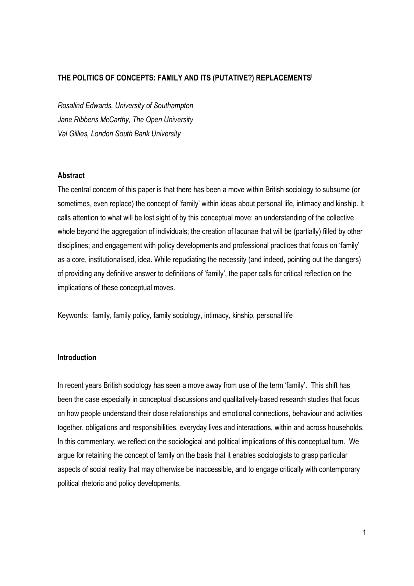### THE POLITICS OF CONCEPTS: FAMILY AND ITS (PUTATIVE?) REPLACEMENTS<sup>i</sup>

Rosalind Edwards, University of Southampton Jane Ribbens McCarthy, The Open University Val Gillies, London South Bank University

#### **Abstract**

The central concern of this paper is that there has been a move within British sociology to subsume (or sometimes, even replace) the concept of 'family' within ideas about personal life, intimacy and kinship. It calls attention to what will be lost sight of by this conceptual move: an understanding of the collective whole beyond the aggregation of individuals; the creation of lacunae that will be (partially) filled by other disciplines; and engagement with policy developments and professional practices that focus on 'family' as a core, institutionalised, idea. While repudiating the necessity (and indeed, pointing out the dangers) of providing any definitive answer to definitions of 'family', the paper calls for critical reflection on the implications of these conceptual moves.

Keywords: family, family policy, family sociology, intimacy, kinship, personal life

#### Introduction

In recent years British sociology has seen a move away from use of the term 'family'. This shift has been the case especially in conceptual discussions and qualitatively-based research studies that focus on how people understand their close relationships and emotional connections, behaviour and activities together, obligations and responsibilities, everyday lives and interactions, within and across households. In this commentary, we reflect on the sociological and political implications of this conceptual turn. We argue for retaining the concept of family on the basis that it enables sociologists to grasp particular aspects of social reality that may otherwise be inaccessible, and to engage critically with contemporary political rhetoric and policy developments.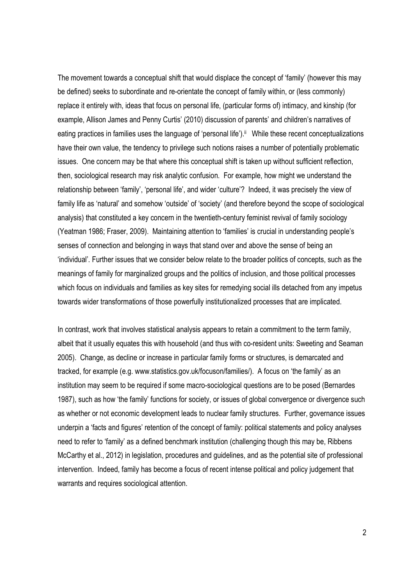The movement towards a conceptual shift that would displace the concept of 'family' (however this may be defined) seeks to subordinate and re-orientate the concept of family within, or (less commonly) replace it entirely with, ideas that focus on personal life, (particular forms of) intimacy, and kinship (for example, Allison James and Penny Curtis' (2010) discussion of parents' and children's narratives of eating practices in families uses the language of 'personal life').<sup>ii</sup> While these recent conceptualizations have their own value, the tendency to privilege such notions raises a number of potentially problematic issues. One concern may be that where this conceptual shift is taken up without sufficient reflection, then, sociological research may risk analytic confusion. For example, how might we understand the relationship between 'family', 'personal life', and wider 'culture'? Indeed, it was precisely the view of family life as 'natural' and somehow 'outside' of 'society' (and therefore beyond the scope of sociological analysis) that constituted a key concern in the twentieth-century feminist revival of family sociology (Yeatman 1986; Fraser, 2009). Maintaining attention to 'families' is crucial in understanding people's senses of connection and belonging in ways that stand over and above the sense of being an 'individual'. Further issues that we consider below relate to the broader politics of concepts, such as the meanings of family for marginalized groups and the politics of inclusion, and those political processes which focus on individuals and families as key sites for remedying social ills detached from any impetus towards wider transformations of those powerfully institutionalized processes that are implicated.

In contrast, work that involves statistical analysis appears to retain a commitment to the term family, albeit that it usually equates this with household (and thus with co-resident units: Sweeting and Seaman 2005). Change, as decline or increase in particular family forms or structures, is demarcated and tracked, for example (e.g. www.statistics.gov.uk/focuson/families/). A focus on 'the family' as an institution may seem to be required if some macro-sociological questions are to be posed (Bernardes 1987), such as how 'the family' functions for society, or issues of global convergence or divergence such as whether or not economic development leads to nuclear family structures. Further, governance issues underpin a 'facts and figures' retention of the concept of family: political statements and policy analyses need to refer to 'family' as a defined benchmark institution (challenging though this may be, Ribbens McCarthy et al., 2012) in legislation, procedures and guidelines, and as the potential site of professional intervention. Indeed, family has become a focus of recent intense political and policy judgement that warrants and requires sociological attention.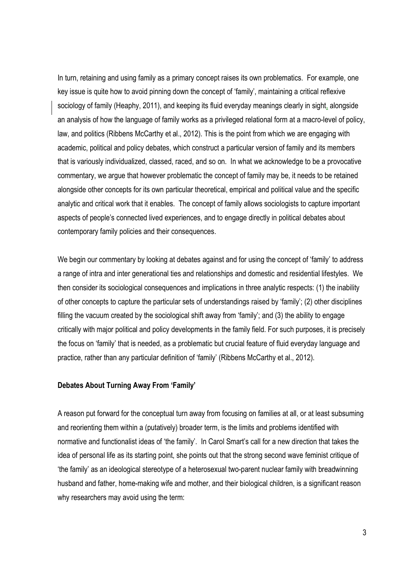In turn, retaining and using family as a primary concept raises its own problematics. For example, one key issue is quite how to avoid pinning down the concept of 'family', maintaining a critical reflexive sociology of family (Heaphy, 2011), and keeping its fluid everyday meanings clearly in sight, alongside an analysis of how the language of family works as a privileged relational form at a macro-level of policy, law, and politics (Ribbens McCarthy et al., 2012). This is the point from which we are engaging with academic, political and policy debates, which construct a particular version of family and its members that is variously individualized, classed, raced, and so on. In what we acknowledge to be a provocative commentary, we argue that however problematic the concept of family may be, it needs to be retained alongside other concepts for its own particular theoretical, empirical and political value and the specific analytic and critical work that it enables. The concept of family allows sociologists to capture important aspects of people's connected lived experiences, and to engage directly in political debates about contemporary family policies and their consequences.

We begin our commentary by looking at debates against and for using the concept of 'family' to address a range of intra and inter generational ties and relationships and domestic and residential lifestyles. We then consider its sociological consequences and implications in three analytic respects: (1) the inability of other concepts to capture the particular sets of understandings raised by 'family'; (2) other disciplines filling the vacuum created by the sociological shift away from 'family'; and (3) the ability to engage critically with major political and policy developments in the family field. For such purposes, it is precisely the focus on 'family' that is needed, as a problematic but crucial feature of fluid everyday language and practice, rather than any particular definition of 'family' (Ribbens McCarthy et al., 2012).

# Debates About Turning Away From 'Family'

A reason put forward for the conceptual turn away from focusing on families at all, or at least subsuming and reorienting them within a (putatively) broader term, is the limits and problems identified with normative and functionalist ideas of 'the family'. In Carol Smart's call for a new direction that takes the idea of personal life as its starting point, she points out that the strong second wave feminist critique of 'the family' as an ideological stereotype of a heterosexual two-parent nuclear family with breadwinning husband and father, home-making wife and mother, and their biological children, is a significant reason why researchers may avoid using the term: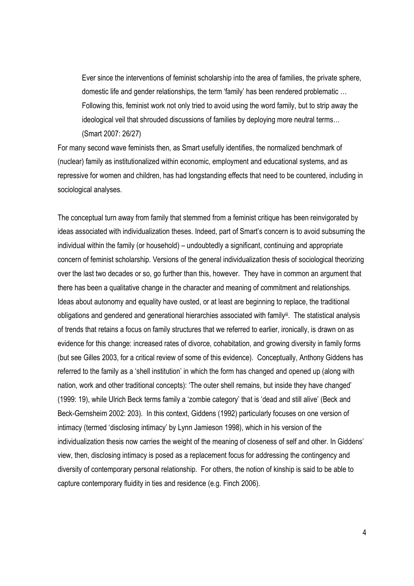Ever since the interventions of feminist scholarship into the area of families, the private sphere, domestic life and gender relationships, the term 'family' has been rendered problematic … Following this, feminist work not only tried to avoid using the word family, but to strip away the ideological veil that shrouded discussions of families by deploying more neutral terms… (Smart 2007: 26/27)

For many second wave feminists then, as Smart usefully identifies, the normalized benchmark of (nuclear) family as institutionalized within economic, employment and educational systems, and as repressive for women and children, has had longstanding effects that need to be countered, including in sociological analyses.

The conceptual turn away from family that stemmed from a feminist critique has been reinvigorated by ideas associated with individualization theses. Indeed, part of Smart's concern is to avoid subsuming the individual within the family (or household) – undoubtedly a significant, continuing and appropriate concern of feminist scholarship. Versions of the general individualization thesis of sociological theorizing over the last two decades or so, go further than this, however. They have in common an argument that there has been a qualitative change in the character and meaning of commitment and relationships. Ideas about autonomy and equality have ousted, or at least are beginning to replace, the traditional obligations and gendered and generational hierarchies associated with familyii. The statistical analysis of trends that retains a focus on family structures that we referred to earlier, ironically, is drawn on as evidence for this change: increased rates of divorce, cohabitation, and growing diversity in family forms (but see Gilles 2003, for a critical review of some of this evidence). Conceptually, Anthony Giddens has referred to the family as a 'shell institution' in which the form has changed and opened up (along with nation, work and other traditional concepts): 'The outer shell remains, but inside they have changed' (1999: 19), while Ulrich Beck terms family a 'zombie category' that is 'dead and still alive' (Beck and Beck-Gernsheim 2002: 203). In this context, Giddens (1992) particularly focuses on one version of intimacy (termed 'disclosing intimacy' by Lynn Jamieson 1998), which in his version of the individualization thesis now carries the weight of the meaning of closeness of self and other. In Giddens' view, then, disclosing intimacy is posed as a replacement focus for addressing the contingency and diversity of contemporary personal relationship. For others, the notion of kinship is said to be able to capture contemporary fluidity in ties and residence (e.g. Finch 2006).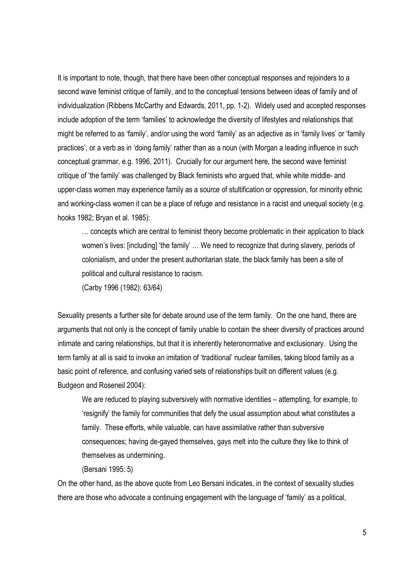It is important to note, though, that there have been other conceptual responses and rejoinders to a second wave feminist critique of family, and to the conceptual tensions between ideas of family and of individualization (Ribbens McCarthy and Edwards, 2011, pp. 1-2). Widely used and accepted responses include adoption of the term 'families' to acknowledge the diversity of lifestyles and relationships that might be referred to as 'family', and/or using the word 'family' as an adjective as in 'family lives' or 'family practices', or a verb as in 'doing family' rather than as a noun (with Morgan a leading influence in such conceptual grammar, e.g. 1996, 2011). Crucially for our argument here, the second wave feminist critique of 'the family' was challenged by Black feminists who argued that, while white middle- and upper-class women may experience family as a source of stultification or oppression, for minority ethnic and working-class women it can be a place of refuge and resistance in a racist and unequal society (e.g. hooks 1982; Bryan et al. 1985):

… concepts which are central to feminist theory become problematic in their application to black women's lives: [including] 'the family' … We need to recognize that during slavery, periods of colonialism, and under the present authoritarian state, the black family has been a site of political and cultural resistance to racism.

(Carby 1996 (1982): 63/64)

Sexuality presents a further site for debate around use of the term family. On the one hand, there are arguments that not only is the concept of family unable to contain the sheer diversity of practices around intimate and caring relationships, but that it is inherently heteronormative and exclusionary. Using the term family at all is said to invoke an imitation of 'traditional' nuclear families, taking blood family as a basic point of reference, and confusing varied sets of relationships built on different values (e.g. Budgeon and Roseneil 2004):

We are reduced to playing subversively with normative identities – attempting, for example, to 'resignify' the family for communities that defy the usual assumption about what constitutes a family. These efforts, while valuable, can have assimilative rather than subversive consequences; having de-gayed themselves, gays melt into the culture they like to think of themselves as undermining.

(Bersani 1995: 5)

On the other hand, as the above quote from Leo Bersani indicates, in the context of sexuality studies there are those who advocate a continuing engagement with the language of 'family' as a political,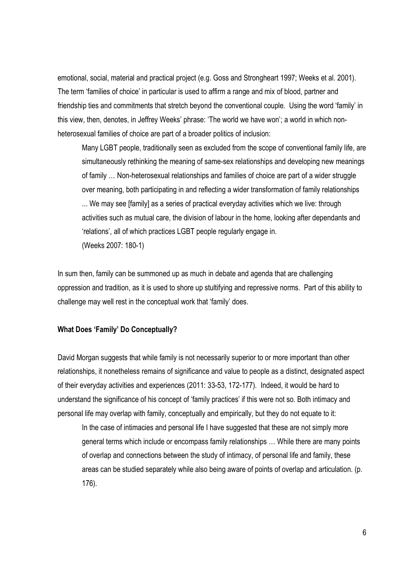emotional, social, material and practical project (e.g. Goss and Strongheart 1997; Weeks et al. 2001). The term 'families of choice' in particular is used to affirm a range and mix of blood, partner and friendship ties and commitments that stretch beyond the conventional couple. Using the word 'family' in this view, then, denotes, in Jeffrey Weeks' phrase: 'The world we have won'; a world in which nonheterosexual families of choice are part of a broader politics of inclusion:

Many LGBT people, traditionally seen as excluded from the scope of conventional family life, are simultaneously rethinking the meaning of same-sex relationships and developing new meanings of family … Non-heterosexual relationships and families of choice are part of a wider struggle over meaning, both participating in and reflecting a wider transformation of family relationships ... We may see [family] as a series of practical everyday activities which we live: through activities such as mutual care, the division of labour in the home, looking after dependants and 'relations', all of which practices LGBT people regularly engage in. (Weeks 2007: 180-1)

In sum then, family can be summoned up as much in debate and agenda that are challenging oppression and tradition, as it is used to shore up stultifying and repressive norms. Part of this ability to challenge may well rest in the conceptual work that 'family' does.

#### What Does 'Family' Do Conceptually?

David Morgan suggests that while family is not necessarily superior to or more important than other relationships, it nonetheless remains of significance and value to people as a distinct, designated aspect of their everyday activities and experiences (2011: 33-53, 172-177). Indeed, it would be hard to understand the significance of his concept of 'family practices' if this were not so. Both intimacy and personal life may overlap with family, conceptually and empirically, but they do not equate to it:

In the case of intimacies and personal life I have suggested that these are not simply more general terms which include or encompass family relationships … While there are many points of overlap and connections between the study of intimacy, of personal life and family, these areas can be studied separately while also being aware of points of overlap and articulation. (p. 176).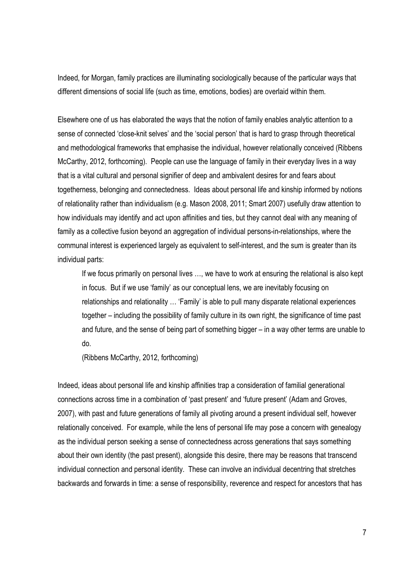Indeed, for Morgan, family practices are illuminating sociologically because of the particular ways that different dimensions of social life (such as time, emotions, bodies) are overlaid within them.

Elsewhere one of us has elaborated the ways that the notion of family enables analytic attention to a sense of connected 'close-knit selves' and the 'social person' that is hard to grasp through theoretical and methodological frameworks that emphasise the individual, however relationally conceived (Ribbens McCarthy, 2012, forthcoming). People can use the language of family in their everyday lives in a way that is a vital cultural and personal signifier of deep and ambivalent desires for and fears about togetherness, belonging and connectedness. Ideas about personal life and kinship informed by notions of relationality rather than individualism (e.g. Mason 2008, 2011; Smart 2007) usefully draw attention to how individuals may identify and act upon affinities and ties, but they cannot deal with any meaning of family as a collective fusion beyond an aggregation of individual persons-in-relationships, where the communal interest is experienced largely as equivalent to self-interest, and the sum is greater than its individual parts:

If we focus primarily on personal lives …, we have to work at ensuring the relational is also kept in focus. But if we use 'family' as our conceptual lens, we are inevitably focusing on relationships and relationality … 'Family' is able to pull many disparate relational experiences together – including the possibility of family culture in its own right, the significance of time past and future, and the sense of being part of something bigger – in a way other terms are unable to do.

(Ribbens McCarthy, 2012, forthcoming)

Indeed, ideas about personal life and kinship affinities trap a consideration of familial generational connections across time in a combination of 'past present' and 'future present' (Adam and Groves, 2007), with past and future generations of family all pivoting around a present individual self, however relationally conceived. For example, while the lens of personal life may pose a concern with genealogy as the individual person seeking a sense of connectedness across generations that says something about their own identity (the past present), alongside this desire, there may be reasons that transcend individual connection and personal identity. These can involve an individual decentring that stretches backwards and forwards in time: a sense of responsibility, reverence and respect for ancestors that has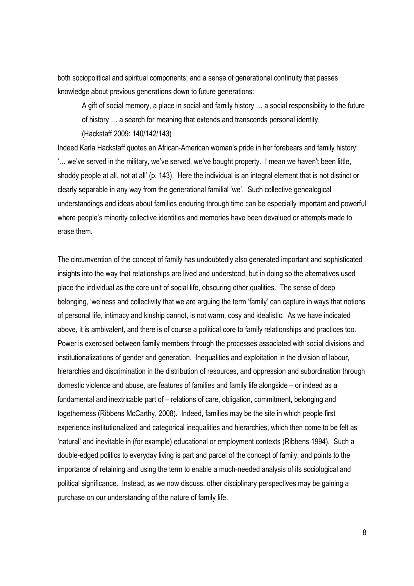both sociopolitical and spiritual components; and a sense of generational continuity that passes knowledge about previous generations down to future generations:

A gift of social memory, a place in social and family history … a social responsibility to the future of history … a search for meaning that extends and transcends personal identity.

(Hackstaff 2009: 140/142/143)

Indeed Karla Hackstaff quotes an African-American woman's pride in her forebears and family history: '… we've served in the military, we've served, we've bought property. I mean we haven't been little, shoddy people at all, not at all' (p. 143). Here the individual is an integral element that is not distinct or clearly separable in any way from the generational familial 'we'. Such collective genealogical understandings and ideas about families enduring through time can be especially important and powerful where people's minority collective identities and memories have been devalued or attempts made to erase them.

The circumvention of the concept of family has undoubtedly also generated important and sophisticated insights into the way that relationships are lived and understood, but in doing so the alternatives used place the individual as the core unit of social life, obscuring other qualities. The sense of deep belonging, 'we'ness and collectivity that we are arguing the term 'family' can capture in ways that notions of personal life, intimacy and kinship cannot, is not warm, cosy and idealistic. As we have indicated above, it is ambivalent, and there is of course a political core to family relationships and practices too. Power is exercised between family members through the processes associated with social divisions and institutionalizations of gender and generation. Inequalities and exploitation in the division of labour, hierarchies and discrimination in the distribution of resources, and oppression and subordination through domestic violence and abuse, are features of families and family life alongside – or indeed as a fundamental and inextricable part of – relations of care, obligation, commitment, belonging and togetherness (Ribbens McCarthy, 2008). Indeed, families may be the site in which people first experience institutionalized and categorical inequalities and hierarchies, which then come to be felt as 'natural' and inevitable in (for example) educational or employment contexts (Ribbens 1994). Such a double-edged politics to everyday living is part and parcel of the concept of family, and points to the importance of retaining and using the term to enable a much-needed analysis of its sociological and political significance. Instead, as we now discuss, other disciplinary perspectives may be gaining a purchase on our understanding of the nature of family life.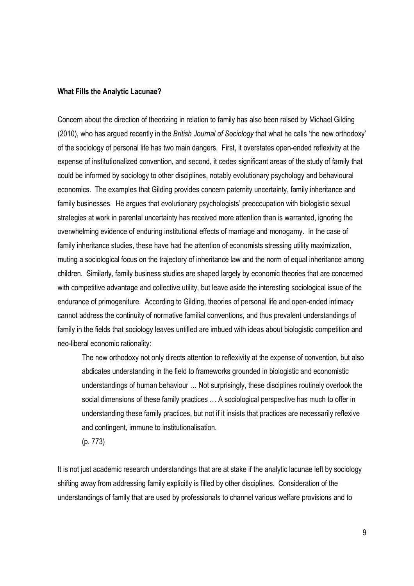#### What Fills the Analytic Lacunae?

Concern about the direction of theorizing in relation to family has also been raised by Michael Gilding (2010), who has argued recently in the British Journal of Sociology that what he calls 'the new orthodoxy' of the sociology of personal life has two main dangers. First, it overstates open-ended reflexivity at the expense of institutionalized convention, and second, it cedes significant areas of the study of family that could be informed by sociology to other disciplines, notably evolutionary psychology and behavioural economics. The examples that Gilding provides concern paternity uncertainty, family inheritance and family businesses. He argues that evolutionary psychologists' preoccupation with biologistic sexual strategies at work in parental uncertainty has received more attention than is warranted, ignoring the overwhelming evidence of enduring institutional effects of marriage and monogamy. In the case of family inheritance studies, these have had the attention of economists stressing utility maximization, muting a sociological focus on the trajectory of inheritance law and the norm of equal inheritance among children. Similarly, family business studies are shaped largely by economic theories that are concerned with competitive advantage and collective utility, but leave aside the interesting sociological issue of the endurance of primogeniture. According to Gilding, theories of personal life and open-ended intimacy cannot address the continuity of normative familial conventions, and thus prevalent understandings of family in the fields that sociology leaves untilled are imbued with ideas about biologistic competition and neo-liberal economic rationality:

The new orthodoxy not only directs attention to reflexivity at the expense of convention, but also abdicates understanding in the field to frameworks grounded in biologistic and economistic understandings of human behaviour … Not surprisingly, these disciplines routinely overlook the social dimensions of these family practices … A sociological perspective has much to offer in understanding these family practices, but not if it insists that practices are necessarily reflexive and contingent, immune to institutionalisation.

(p. 773)

It is not just academic research understandings that are at stake if the analytic lacunae left by sociology shifting away from addressing family explicitly is filled by other disciplines. Consideration of the understandings of family that are used by professionals to channel various welfare provisions and to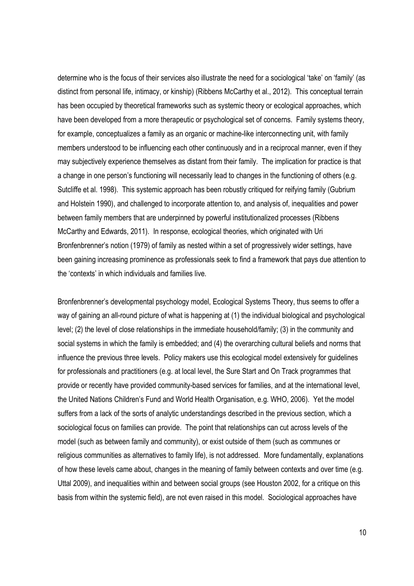determine who is the focus of their services also illustrate the need for a sociological 'take' on 'family' (as distinct from personal life, intimacy, or kinship) (Ribbens McCarthy et al., 2012). This conceptual terrain has been occupied by theoretical frameworks such as systemic theory or ecological approaches, which have been developed from a more therapeutic or psychological set of concerns. Family systems theory, for example, conceptualizes a family as an organic or machine-like interconnecting unit, with family members understood to be influencing each other continuously and in a reciprocal manner, even if they may subjectively experience themselves as distant from their family. The implication for practice is that a change in one person's functioning will necessarily lead to changes in the functioning of others (e.g. Sutcliffe et al. 1998). This systemic approach has been robustly critiqued for reifying family (Gubrium and Holstein 1990), and challenged to incorporate attention to, and analysis of, inequalities and power between family members that are underpinned by powerful institutionalized processes (Ribbens McCarthy and Edwards, 2011). In response, ecological theories, which originated with Uri Bronfenbrenner's notion (1979) of family as nested within a set of progressively wider settings, have been gaining increasing prominence as professionals seek to find a framework that pays due attention to the 'contexts' in which individuals and families live.

Bronfenbrenner's developmental psychology model, Ecological Systems Theory, thus seems to offer a way of gaining an all-round picture of what is happening at (1) the individual biological and psychological level; (2) the level of close relationships in the immediate household/family; (3) in the community and social systems in which the family is embedded; and (4) the overarching cultural beliefs and norms that influence the previous three levels. Policy makers use this ecological model extensively for guidelines for professionals and practitioners (e.g. at local level, the Sure Start and On Track programmes that provide or recently have provided community-based services for families, and at the international level, the United Nations Children's Fund and World Health Organisation, e.g. WHO, 2006). Yet the model suffers from a lack of the sorts of analytic understandings described in the previous section, which a sociological focus on families can provide. The point that relationships can cut across levels of the model (such as between family and community), or exist outside of them (such as communes or religious communities as alternatives to family life), is not addressed. More fundamentally, explanations of how these levels came about, changes in the meaning of family between contexts and over time (e.g. Uttal 2009), and inequalities within and between social groups (see Houston 2002, for a critique on this basis from within the systemic field), are not even raised in this model. Sociological approaches have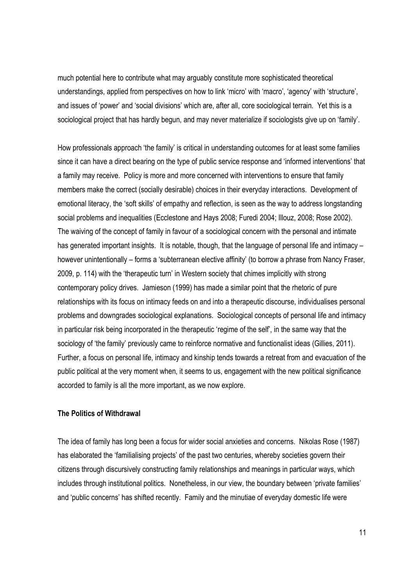much potential here to contribute what may arguably constitute more sophisticated theoretical understandings, applied from perspectives on how to link 'micro' with 'macro', 'agency' with 'structure', and issues of 'power' and 'social divisions' which are, after all, core sociological terrain. Yet this is a sociological project that has hardly begun, and may never materialize if sociologists give up on 'family'.

How professionals approach 'the family' is critical in understanding outcomes for at least some families since it can have a direct bearing on the type of public service response and 'informed interventions' that a family may receive. Policy is more and more concerned with interventions to ensure that family members make the correct (socially desirable) choices in their everyday interactions. Development of emotional literacy, the 'soft skills' of empathy and reflection, is seen as the way to address longstanding social problems and inequalities (Ecclestone and Hays 2008; Furedi 2004; Illouz, 2008; Rose 2002). The waiving of the concept of family in favour of a sociological concern with the personal and intimate has generated important insights. It is notable, though, that the language of personal life and intimacy – however unintentionally – forms a 'subterranean elective affinity' (to borrow a phrase from Nancy Fraser, 2009, p. 114) with the 'therapeutic turn' in Western society that chimes implicitly with strong contemporary policy drives. Jamieson (1999) has made a similar point that the rhetoric of pure relationships with its focus on intimacy feeds on and into a therapeutic discourse, individualises personal problems and downgrades sociological explanations. Sociological concepts of personal life and intimacy in particular risk being incorporated in the therapeutic 'regime of the self', in the same way that the sociology of 'the family' previously came to reinforce normative and functionalist ideas (Gillies, 2011). Further, a focus on personal life, intimacy and kinship tends towards a retreat from and evacuation of the public political at the very moment when, it seems to us, engagement with the new political significance accorded to family is all the more important, as we now explore.

# The Politics of Withdrawal

The idea of family has long been a focus for wider social anxieties and concerns. Nikolas Rose (1987) has elaborated the 'familialising projects' of the past two centuries, whereby societies govern their citizens through discursively constructing family relationships and meanings in particular ways, which includes through institutional politics. Nonetheless, in our view, the boundary between 'private families' and 'public concerns' has shifted recently. Family and the minutiae of everyday domestic life were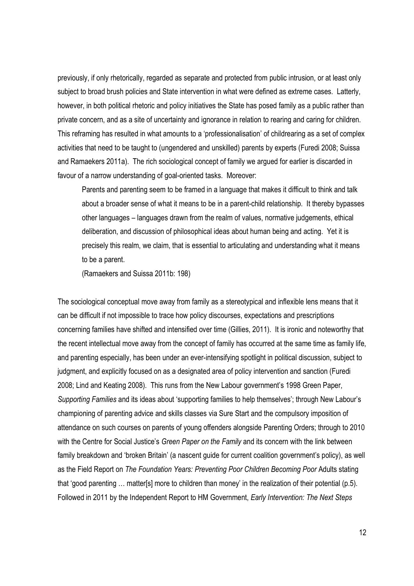previously, if only rhetorically, regarded as separate and protected from public intrusion, or at least only subject to broad brush policies and State intervention in what were defined as extreme cases. Latterly, however, in both political rhetoric and policy initiatives the State has posed family as a public rather than private concern, and as a site of uncertainty and ignorance in relation to rearing and caring for children. This reframing has resulted in what amounts to a 'professionalisation' of childrearing as a set of complex activities that need to be taught to (ungendered and unskilled) parents by experts (Furedi 2008; Suissa and Ramaekers 2011a). The rich sociological concept of family we argued for earlier is discarded in favour of a narrow understanding of goal-oriented tasks. Moreover:

Parents and parenting seem to be framed in a language that makes it difficult to think and talk about a broader sense of what it means to be in a parent-child relationship. It thereby bypasses other languages – languages drawn from the realm of values, normative judgements, ethical deliberation, and discussion of philosophical ideas about human being and acting. Yet it is precisely this realm, we claim, that is essential to articulating and understanding what it means to be a parent.

(Ramaekers and Suissa 2011b: 198)

The sociological conceptual move away from family as a stereotypical and inflexible lens means that it can be difficult if not impossible to trace how policy discourses, expectations and prescriptions concerning families have shifted and intensified over time (Gillies, 2011). It is ironic and noteworthy that the recent intellectual move away from the concept of family has occurred at the same time as family life, and parenting especially, has been under an ever-intensifying spotlight in political discussion, subject to judgment, and explicitly focused on as a designated area of policy intervention and sanction (Furedi 2008; Lind and Keating 2008). This runs from the New Labour government's 1998 Green Paper, Supporting Families and its ideas about 'supporting families to help themselves'; through New Labour's championing of parenting advice and skills classes via Sure Start and the compulsory imposition of attendance on such courses on parents of young offenders alongside Parenting Orders; through to 2010 with the Centre for Social Justice's Green Paper on the Family and its concern with the link between family breakdown and 'broken Britain' (a nascent guide for current coalition government's policy), as well as the Field Report on The Foundation Years: Preventing Poor Children Becoming Poor Adults stating that 'good parenting … matter[s] more to children than money' in the realization of their potential (p.5). Followed in 2011 by the Independent Report to HM Government, Early Intervention: The Next Steps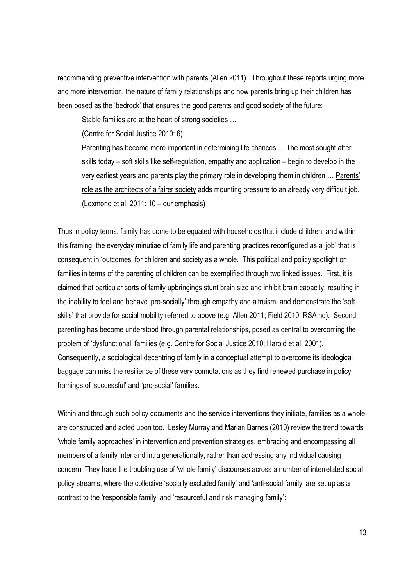recommending preventive intervention with parents (Allen 2011). Throughout these reports urging more and more intervention, the nature of family relationships and how parents bring up their children has been posed as the 'bedrock' that ensures the good parents and good society of the future:

Stable families are at the heart of strong societies …

(Centre for Social Justice 2010: 6)

Parenting has become more important in determining life chances … The most sought after skills today – soft skills like self-regulation, empathy and application – begin to develop in the very earliest years and parents play the primary role in developing them in children … Parents' role as the architects of a fairer society adds mounting pressure to an already very difficult job. (Lexmond et al. 2011: 10 – our emphasis)

Thus in policy terms, family has come to be equated with households that include children, and within this framing, the everyday minutiae of family life and parenting practices reconfigured as a 'job' that is consequent in 'outcomes' for children and society as a whole. This political and policy spotlight on families in terms of the parenting of children can be exemplified through two linked issues. First, it is claimed that particular sorts of family upbringings stunt brain size and inhibit brain capacity, resulting in the inability to feel and behave 'pro-socially' through empathy and altruism, and demonstrate the 'soft skills' that provide for social mobility referred to above (e.g. Allen 2011; Field 2010; RSA nd). Second, parenting has become understood through parental relationships, posed as central to overcoming the problem of 'dysfunctional' families (e.g. Centre for Social Justice 2010; Harold et al. 2001). Consequently, a sociological decentring of family in a conceptual attempt to overcome its ideological baggage can miss the resilience of these very connotations as they find renewed purchase in policy framings of 'successful' and 'pro-social' families.

Within and through such policy documents and the service interventions they initiate, families as a whole are constructed and acted upon too. Lesley Murray and Marian Barnes (2010) review the trend towards 'whole family approaches' in intervention and prevention strategies, embracing and encompassing all members of a family inter and intra generationally, rather than addressing any individual causing concern. They trace the troubling use of 'whole family' discourses across a number of interrelated social policy streams, where the collective 'socially excluded family' and 'anti-social family' are set up as a contrast to the 'responsible family' and 'resourceful and risk managing family':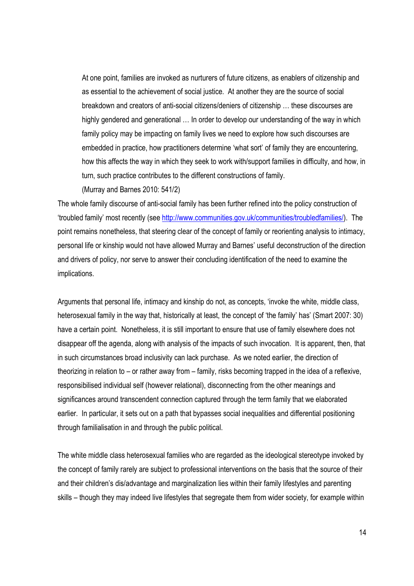At one point, families are invoked as nurturers of future citizens, as enablers of citizenship and as essential to the achievement of social justice. At another they are the source of social breakdown and creators of anti-social citizens/deniers of citizenship … these discourses are highly gendered and generational … In order to develop our understanding of the way in which family policy may be impacting on family lives we need to explore how such discourses are embedded in practice, how practitioners determine 'what sort' of family they are encountering, how this affects the way in which they seek to work with/support families in difficulty, and how, in turn, such practice contributes to the different constructions of family.

(Murray and Barnes 2010: 541/2)

The whole family discourse of anti-social family has been further refined into the policy construction of 'troubled family' most recently (see http://www.communities.gov.uk/communities/troubledfamilies/). The point remains nonetheless, that steering clear of the concept of family or reorienting analysis to intimacy, personal life or kinship would not have allowed Murray and Barnes' useful deconstruction of the direction and drivers of policy, nor serve to answer their concluding identification of the need to examine the implications.

Arguments that personal life, intimacy and kinship do not, as concepts, 'invoke the white, middle class, heterosexual family in the way that, historically at least, the concept of 'the family' has' (Smart 2007: 30) have a certain point. Nonetheless, it is still important to ensure that use of family elsewhere does not disappear off the agenda, along with analysis of the impacts of such invocation. It is apparent, then, that in such circumstances broad inclusivity can lack purchase. As we noted earlier, the direction of theorizing in relation to – or rather away from – family, risks becoming trapped in the idea of a reflexive, responsibilised individual self (however relational), disconnecting from the other meanings and significances around transcendent connection captured through the term family that we elaborated earlier. In particular, it sets out on a path that bypasses social inequalities and differential positioning through familialisation in and through the public political.

The white middle class heterosexual families who are regarded as the ideological stereotype invoked by the concept of family rarely are subject to professional interventions on the basis that the source of their and their children's dis/advantage and marginalization lies within their family lifestyles and parenting skills – though they may indeed live lifestyles that segregate them from wider society, for example within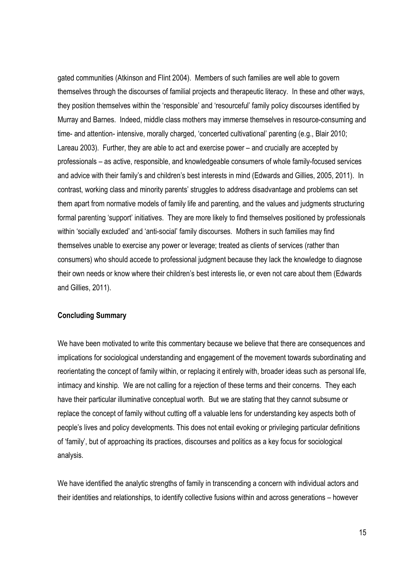gated communities (Atkinson and Flint 2004). Members of such families are well able to govern themselves through the discourses of familial projects and therapeutic literacy. In these and other ways, they position themselves within the 'responsible' and 'resourceful' family policy discourses identified by Murray and Barnes. Indeed, middle class mothers may immerse themselves in resource-consuming and time- and attention- intensive, morally charged, 'concerted cultivational' parenting (e.g., Blair 2010; Lareau 2003). Further, they are able to act and exercise power – and crucially are accepted by professionals – as active, responsible, and knowledgeable consumers of whole family-focused services and advice with their family's and children's best interests in mind (Edwards and Gillies, 2005, 2011). In contrast, working class and minority parents' struggles to address disadvantage and problems can set them apart from normative models of family life and parenting, and the values and judgments structuring formal parenting 'support' initiatives. They are more likely to find themselves positioned by professionals within 'socially excluded' and 'anti-social' family discourses. Mothers in such families may find themselves unable to exercise any power or leverage; treated as clients of services (rather than consumers) who should accede to professional judgment because they lack the knowledge to diagnose their own needs or know where their children's best interests lie, or even not care about them (Edwards and Gillies, 2011).

#### Concluding Summary

We have been motivated to write this commentary because we believe that there are consequences and implications for sociological understanding and engagement of the movement towards subordinating and reorientating the concept of family within, or replacing it entirely with, broader ideas such as personal life, intimacy and kinship. We are not calling for a rejection of these terms and their concerns. They each have their particular illuminative conceptual worth. But we are stating that they cannot subsume or replace the concept of family without cutting off a valuable lens for understanding key aspects both of people's lives and policy developments. This does not entail evoking or privileging particular definitions of 'family', but of approaching its practices, discourses and politics as a key focus for sociological analysis.

We have identified the analytic strengths of family in transcending a concern with individual actors and their identities and relationships, to identify collective fusions within and across generations – however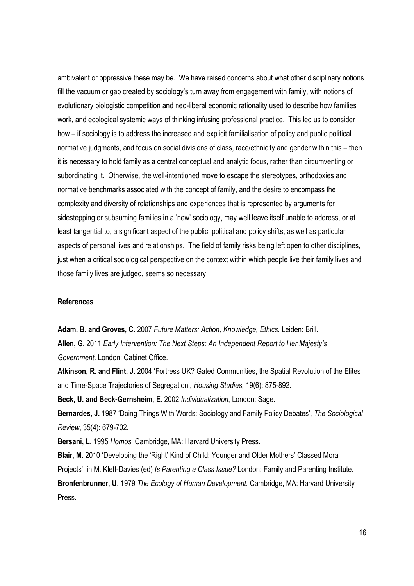ambivalent or oppressive these may be. We have raised concerns about what other disciplinary notions fill the vacuum or gap created by sociology's turn away from engagement with family, with notions of evolutionary biologistic competition and neo-liberal economic rationality used to describe how families work, and ecological systemic ways of thinking infusing professional practice. This led us to consider how – if sociology is to address the increased and explicit familialisation of policy and public political normative judgments, and focus on social divisions of class, race/ethnicity and gender within this – then it is necessary to hold family as a central conceptual and analytic focus, rather than circumventing or subordinating it. Otherwise, the well-intentioned move to escape the stereotypes, orthodoxies and normative benchmarks associated with the concept of family, and the desire to encompass the complexity and diversity of relationships and experiences that is represented by arguments for sidestepping or subsuming families in a 'new' sociology, may well leave itself unable to address, or at least tangential to, a significant aspect of the public, political and policy shifts, as well as particular aspects of personal lives and relationships. The field of family risks being left open to other disciplines, just when a critical sociological perspective on the context within which people live their family lives and those family lives are judged, seems so necessary.

## References

Adam, B. and Groves, C. 2007 Future Matters: Action, Knowledge, Ethics. Leiden: Brill. Allen, G. 2011 Early Intervention: The Next Steps: An Independent Report to Her Majesty's Government. London: Cabinet Office.

Atkinson, R. and Flint, J. 2004 'Fortress UK? Gated Communities, the Spatial Revolution of the Elites and Time-Space Trajectories of Segregation', Housing Studies, 19(6): 875-892.

Beck, U. and Beck-Gernsheim, E. 2002 Individualization, London: Sage.

Bernardes, J. 1987 'Doing Things With Words: Sociology and Family Policy Debates', The Sociological Review, 35(4): 679-702.

Bersani, L. 1995 Homos. Cambridge, MA: Harvard University Press.

Blair, M. 2010 'Developing the 'Right' Kind of Child: Younger and Older Mothers' Classed Moral Projects', in M. Klett-Davies (ed) Is Parenting a Class Issue? London: Family and Parenting Institute. Bronfenbrunner, U. 1979 The Ecology of Human Development. Cambridge, MA: Harvard University Press.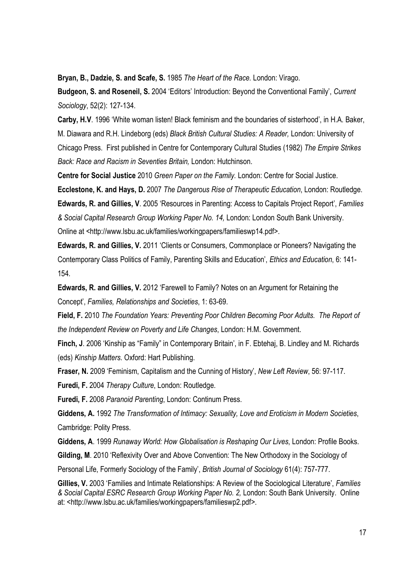Bryan, B., Dadzie, S. and Scafe, S. 1985 The Heart of the Race. London: Virago.

Budgeon, S. and Roseneil, S. 2004 'Editors' Introduction: Beyond the Conventional Family', Current Sociology, 52(2): 127-134.

Carby, H.V. 1996 'White woman listen! Black feminism and the boundaries of sisterhood', in H.A. Baker, M. Diawara and R.H. Lindeborg (eds) Black British Cultural Studies: A Reader, London: University of Chicago Press. First published in Centre for Contemporary Cultural Studies (1982) The Empire Strikes Back: Race and Racism in Seventies Britain, London: Hutchinson.

Centre for Social Justice 2010 Green Paper on the Family. London: Centre for Social Justice.

Ecclestone, K. and Hays, D. 2007 The Dangerous Rise of Therapeutic Education, London: Routledge. Edwards, R. and Gillies, V. 2005 'Resources in Parenting: Access to Capitals Project Report', Families & Social Capital Research Group Working Paper No. 14, London: London South Bank University. Online at <http://www.lsbu.ac.uk/families/workingpapers/familieswp14.pdf>.

Edwards, R. and Gillies, V. 2011 'Clients or Consumers, Commonplace or Pioneers? Navigating the Contemporary Class Politics of Family, Parenting Skills and Education', Ethics and Education, 6: 141- 154.

Edwards, R. and Gillies, V. 2012 'Farewell to Family? Notes on an Argument for Retaining the Concept', Families, Relationships and Societies, 1: 63-69.

Field, F. 2010 The Foundation Years: Preventing Poor Children Becoming Poor Adults. The Report of the Independent Review on Poverty and Life Changes, London: H.M. Government.

Finch, J. 2006 'Kinship as "Family" in Contemporary Britain', in F. Ebtehaj, B. Lindley and M. Richards (eds) Kinship Matters. Oxford: Hart Publishing.

Fraser, N. 2009 'Feminism, Capitalism and the Cunning of History', New Left Review, 56: 97-117.

Furedi, F. 2004 Therapy Culture, London: Routledge.

Furedi, F. 2008 Paranoid Parenting, London: Continum Press.

Giddens, A. 1992 The Transformation of Intimacy: Sexuality, Love and Eroticism in Modern Societies, Cambridge: Polity Press.

Giddens, A. 1999 Runaway World: How Globalisation is Reshaping Our Lives, London: Profile Books.

Gilding, M. 2010 'Reflexivity Over and Above Convention: The New Orthodoxy in the Sociology of

Personal Life, Formerly Sociology of the Family', British Journal of Sociology 61(4): 757-777.

Gillies, V. 2003 'Families and Intimate Relationships: A Review of the Sociological Literature', Families & Social Capital ESRC Research Group Working Paper No. 2, London: South Bank University. Online at: <http://www.lsbu.ac.uk/families/workingpapers/familieswp2.pdf>.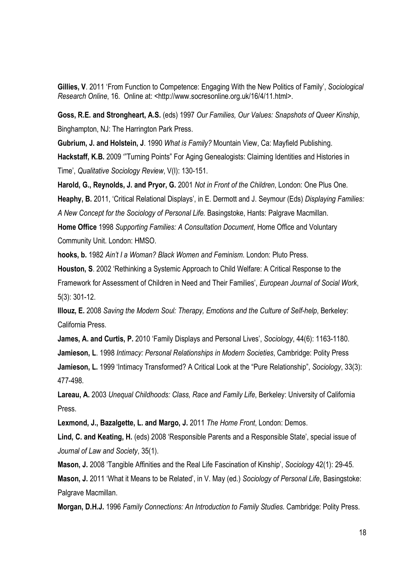Gillies, V. 2011 'From Function to Competence: Engaging With the New Politics of Family', Sociological Research Online, 16. Online at: <http://www.socresonline.org.uk/16/4/11.html>.

Goss, R.E. and Strongheart, A.S. (eds) 1997 Our Families, Our Values: Snapshots of Queer Kinship, Binghampton, NJ: The Harrington Park Press.

Gubrium, J. and Holstein, J. 1990 What is Family? Mountain View, Ca: Mayfield Publishing.

Hackstaff, K.B. 2009 "Turning Points" For Aging Genealogists: Claiming Identities and Histories in Time', Qualitative Sociology Review, V(I): 130-151.

Harold, G., Reynolds, J. and Pryor, G. 2001 Not in Front of the Children, London: One Plus One.

Heaphy, B. 2011, 'Critical Relational Displays', in E. Dermott and J. Seymour (Eds) Displaying Families:

A New Concept for the Sociology of Personal Life. Basingstoke, Hants: Palgrave Macmillan.

Home Office 1998 Supporting Families: A Consultation Document, Home Office and Voluntary Community Unit. London: HMSO.

hooks, b. 1982 Ain't I a Woman? Black Women and Feminism. London: Pluto Press.

Houston, S. 2002 'Rethinking a Systemic Approach to Child Welfare: A Critical Response to the Framework for Assessment of Children in Need and Their Families', European Journal of Social Work, 5(3): 301-12.

Illouz, E. 2008 Saving the Modern Soul: Therapy, Emotions and the Culture of Self-help, Berkeley: California Press.

James, A. and Curtis, P. 2010 'Family Displays and Personal Lives', Sociology, 44(6): 1163-1180. Jamieson, L. 1998 Intimacy: Personal Relationships in Modern Societies, Cambridge: Polity Press Jamieson, L. 1999 'Intimacy Transformed? A Critical Look at the "Pure Relationship", Sociology, 33(3): 477-498.

Lareau, A. 2003 Unequal Childhoods: Class, Race and Family Life, Berkeley: University of California Press.

Lexmond, J., Bazalgette, L. and Margo, J. 2011 The Home Front, London: Demos.

Lind, C. and Keating, H. (eds) 2008 'Responsible Parents and a Responsible State', special issue of Journal of Law and Society, 35(1).

Mason, J. 2008 'Tangible Affinities and the Real Life Fascination of Kinship', Sociology 42(1): 29-45. Mason, J. 2011 'What it Means to be Related', in V. May (ed.) Sociology of Personal Life, Basingstoke: Palgrave Macmillan.

Morgan, D.H.J. 1996 Family Connections: An Introduction to Family Studies. Cambridge: Polity Press.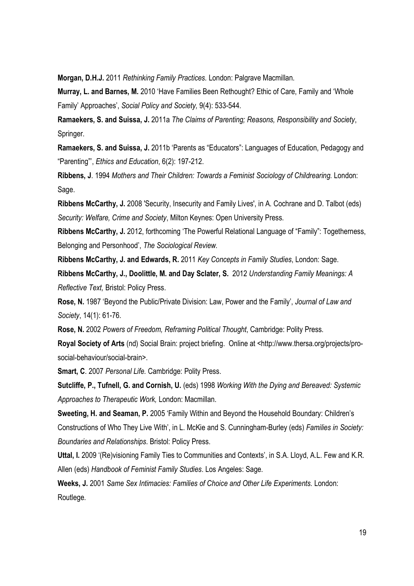Morgan, D.H.J. 2011 Rethinking Family Practices. London: Palgrave Macmillan.

Murray, L. and Barnes, M. 2010 'Have Families Been Rethought? Ethic of Care, Family and 'Whole Family' Approaches', Social Policy and Society, 9(4): 533-544.

Ramaekers, S. and Suissa, J. 2011a The Claims of Parenting; Reasons, Responsibility and Society, Springer.

Ramaekers, S. and Suissa, J. 2011b 'Parents as "Educators": Languages of Education, Pedagogy and "Parenting"', Ethics and Education, 6(2): 197-212.

Ribbens, J. 1994 Mothers and Their Children: Towards a Feminist Sociology of Childrearing. London: Sage.

Ribbens McCarthy, J. 2008 'Security, Insecurity and Family Lives', in A. Cochrane and D. Talbot (eds) Security: Welfare, Crime and Society, Milton Keynes: Open University Press.

Ribbens McCarthy, J. 2012, forthcoming 'The Powerful Relational Language of "Family": Togetherness, Belonging and Personhood', The Sociological Review.

Ribbens McCarthy, J. and Edwards, R. 2011 Key Concepts in Family Studies, London: Sage.

Ribbens McCarthy, J., Doolittle, M. and Day Sclater, S. 2012 Understanding Family Meanings: A Reflective Text, Bristol: Policy Press.

Rose, N. 1987 'Beyond the Public/Private Division: Law, Power and the Family', Journal of Law and Society, 14(1): 61-76.

Rose, N. 2002 Powers of Freedom, Reframing Political Thought, Cambridge: Polity Press.

Royal Society of Arts (nd) Social Brain: project briefing. Online at <http://www.thersa.org/projects/prosocial-behaviour/social-brain>.

Smart, C. 2007 Personal Life. Cambridge: Polity Press.

Sutcliffe, P., Tufnell, G. and Cornish, U. (eds) 1998 Working With the Dying and Bereaved: Systemic Approaches to Therapeutic Work, London: Macmillan.

Sweeting, H. and Seaman, P. 2005 'Family Within and Beyond the Household Boundary: Children's Constructions of Who They Live With', in L. McKie and S. Cunningham-Burley (eds) Families in Society: Boundaries and Relationships. Bristol: Policy Press.

Uttal, I. 2009 '(Re)visioning Family Ties to Communities and Contexts', in S.A. Lloyd, A.L. Few and K.R. Allen (eds) Handbook of Feminist Family Studies. Los Angeles: Sage.

Weeks, J. 2001 Same Sex Intimacies: Families of Choice and Other Life Experiments. London: Routlege.